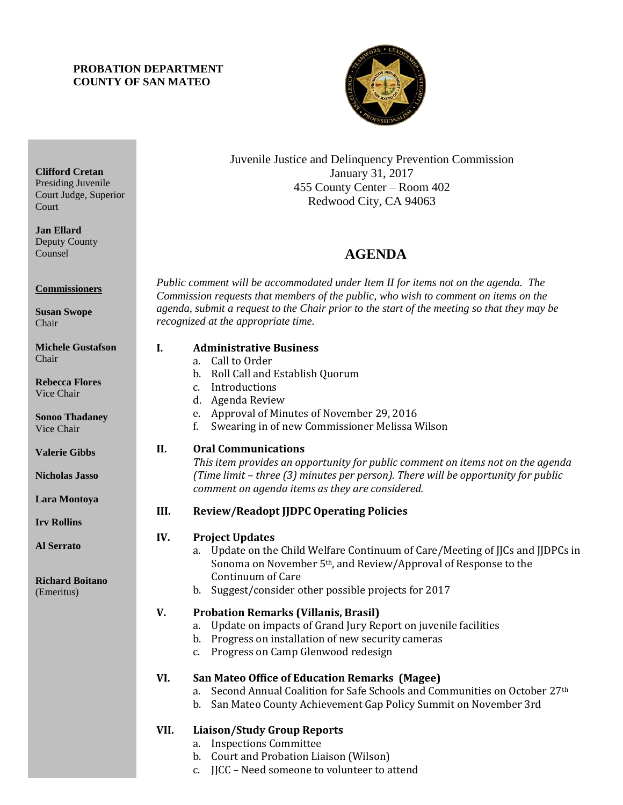## **PROBATION DEPARTMENT COUNTY OF SAN MATEO**



Juvenile Justice and Delinquency Prevention Commission January 31, 2017 455 County Center – Room 402 Redwood City, CA 94063

# 4B**AGENDA**

*Public comment will be accommodated under Item II for items not on the agenda. The Commission requests that members of the public, who wish to comment on items on the agenda, submit a request to the Chair prior to the start of the meeting so that they may be recognized at the appropriate time.* 

# **I. Administrative Business**

- a. Call to Order
- b. Roll Call and Establish Quorum
- c. Introductions
- d. Agenda Review
- e. Approval of Minutes of November 29, 2016
- f. Swearing in of new Commissioner Melissa Wilson

## **II. Oral Communications**

*This item provides an opportunity for public comment on items not on the agenda (Time limit – three (3) minutes per person). There will be opportunity for public comment on agenda items as they are considered.*

## **III. Review/Readopt JJDPC Operating Policies**

## **IV. Project Updates**

- a. Update on the Child Welfare Continuum of Care/Meeting of JJCs and JJDPCs in Sonoma on November 5th, and Review/Approval of Response to the Continuum of Care
- b. Suggest/consider other possible projects for 2017

## **V. Probation Remarks (Villanis, Brasil)**

- a. Update on impacts of Grand Jury Report on juvenile facilities
- b. Progress on installation of new security cameras
- c. Progress on Camp Glenwood redesign

## **VI. San Mateo Office of Education Remarks (Magee)**

- a. Second Annual Coalition for Safe Schools and Communities on October 27th
- b. San Mateo County Achievement Gap Policy Summit on November 3rd

## **VII. Liaison/Study Group Reports**

- a. Inspections Committee
- b. Court and Probation Liaison (Wilson)
- c. JJCC Need someone to volunteer to attend

**Clifford Cretan** Presiding Juvenile Court Judge, Superior **Court** 

**Jan Ellard** Deputy County Counsel

**Commissioners**

**Susan Swope** Chair

**Michele Gustafson** Chair

**Rebecca Flores** Vice Chair

**Sonoo Thadaney** Vice Chair

**Valerie Gibbs**

**Nicholas Jasso**

**Lara Montoya**

**Irv Rollins** 

**Al Serrato**

**Richard Boitano** (Emeritus)